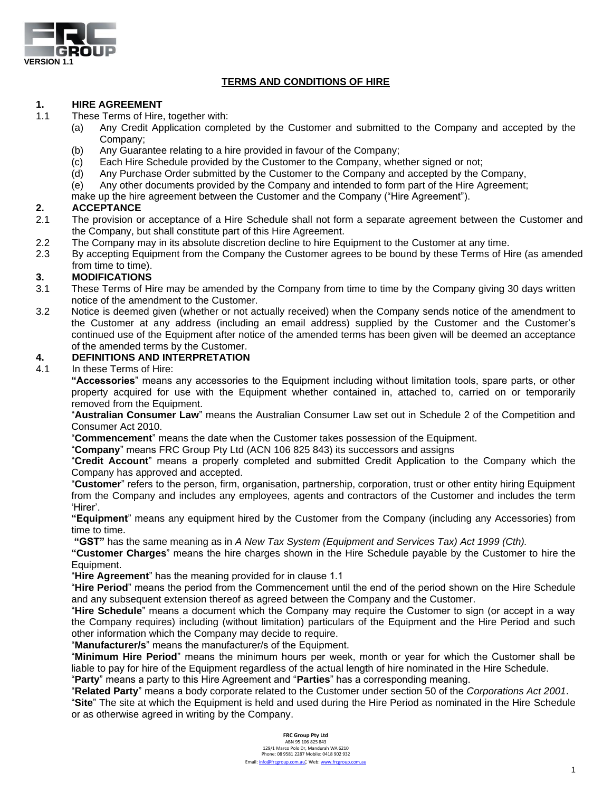

# **TERMS AND CONDITIONS OF HIRE**

## **1. HIRE AGREEMENT**

1.1 These Terms of Hire, together with:

- (a) Any Credit Application completed by the Customer and submitted to the Company and accepted by the Company;
- (b) Any Guarantee relating to a hire provided in favour of the Company;
- (c) Each Hire Schedule provided by the Customer to the Company, whether signed or not;
- (d) Any Purchase Order submitted by the Customer to the Company and accepted by the Company,
- (e) Any other documents provided by the Company and intended to form part of the Hire Agreement;
- make up the hire agreement between the Customer and the Company ("Hire Agreement").

# **2. ACCEPTANCE**

- 2.1 The provision or acceptance of a Hire Schedule shall not form a separate agreement between the Customer and the Company, but shall constitute part of this Hire Agreement.
- 2.2 The Company may in its absolute discretion decline to hire Equipment to the Customer at any time.
- 2.3 By accepting Equipment from the Company the Customer agrees to be bound by these Terms of Hire (as amended from time to time).

## **3. MODIFICATIONS**

- 3.1 These Terms of Hire may be amended by the Company from time to time by the Company giving 30 days written notice of the amendment to the Customer.
- 3.2 Notice is deemed given (whether or not actually received) when the Company sends notice of the amendment to the Customer at any address (including an email address) supplied by the Customer and the Customer's continued use of the Equipment after notice of the amended terms has been given will be deemed an acceptance of the amended terms by the Customer.

# **4. DEFINITIONS AND INTERPRETATION**

4.1 In these Terms of Hire:

**"Accessories**" means any accessories to the Equipment including without limitation tools, spare parts, or other property acquired for use with the Equipment whether contained in, attached to, carried on or temporarily removed from the Equipment.

"**Australian Consumer Law**" means the Australian Consumer Law set out in Schedule 2 of the Competition and Consumer Act 2010.

"**Commencement**" means the date when the Customer takes possession of the Equipment.

"**Company**" means FRC Group Pty Ltd (ACN 106 825 843) its successors and assigns

"**Credit Account**" means a properly completed and submitted Credit Application to the Company which the Company has approved and accepted.

"**Customer**" refers to the person, firm, organisation, partnership, corporation, trust or other entity hiring Equipment from the Company and includes any employees, agents and contractors of the Customer and includes the term 'Hirer'.

**"Equipment**" means any equipment hired by the Customer from the Company (including any Accessories) from time to time.

**"GST"** has the same meaning as in *A New Tax System (Equipment and Services Tax) Act 1999 (Cth).*

**"Customer Charges**" means the hire charges shown in the Hire Schedule payable by the Customer to hire the Equipment.

"**Hire Agreement**" has the meaning provided for in clause 1.1

"**Hire Period**" means the period from the Commencement until the end of the period shown on the Hire Schedule and any subsequent extension thereof as agreed between the Company and the Customer.

"**Hire Schedule**" means a document which the Company may require the Customer to sign (or accept in a way the Company requires) including (without limitation) particulars of the Equipment and the Hire Period and such other information which the Company may decide to require.

"**Manufacturer/s**" means the manufacturer/s of the Equipment.

"**Minimum Hire Period**" means the minimum hours per week, month or year for which the Customer shall be liable to pay for hire of the Equipment regardless of the actual length of hire nominated in the Hire Schedule.

"**Party**" means a party to this Hire Agreement and "**Parties**" has a corresponding meaning.

"**Related Party**" means a body corporate related to the Customer under section 50 of the *Corporations Act 2001*. "**Site**" The site at which the Equipment is held and used during the Hire Period as nominated in the Hire Schedule or as otherwise agreed in writing by the Company.

> **FRC Group Pty Ltd** ABN 95 106 825 843 129/1 Marco Polo Dr, Mandurah WA 6210 Phone: 08 9581 2287 Mobile: 0418 902 932 Email[: info@frcgroup.com.au](mailto:info@frcgroup.com.au); Web[: www.frcgroup.com.au](http://www.frcgroup.com.au/)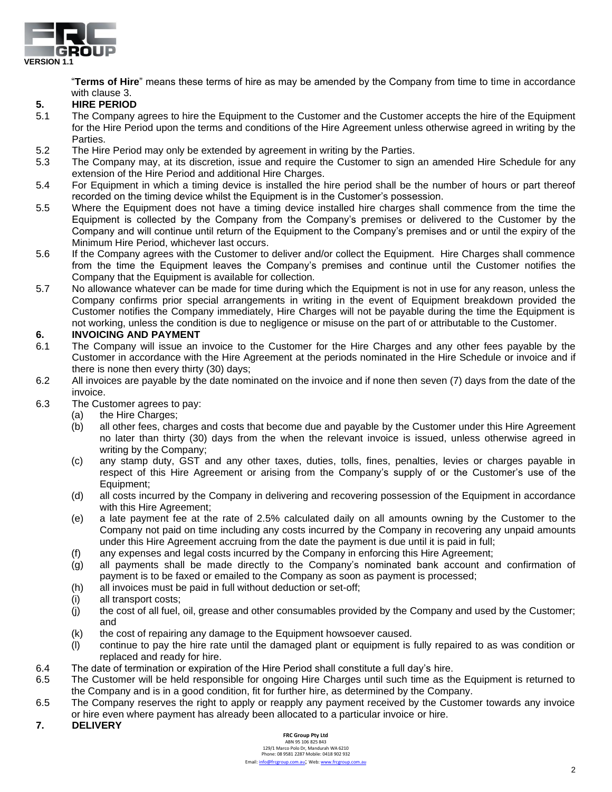

"**Terms of Hire**" means these terms of hire as may be amended by the Company from time to time in accordance with clause 3.

# **5. HIRE PERIOD**

- 5.1 The Company agrees to hire the Equipment to the Customer and the Customer accepts the hire of the Equipment for the Hire Period upon the terms and conditions of the Hire Agreement unless otherwise agreed in writing by the Parties.
- 5.2 The Hire Period may only be extended by agreement in writing by the Parties.
- 5.3 The Company may, at its discretion, issue and require the Customer to sign an amended Hire Schedule for any extension of the Hire Period and additional Hire Charges.
- 5.4 For Equipment in which a timing device is installed the hire period shall be the number of hours or part thereof recorded on the timing device whilst the Equipment is in the Customer's possession.
- 5.5 Where the Equipment does not have a timing device installed hire charges shall commence from the time the Equipment is collected by the Company from the Company's premises or delivered to the Customer by the Company and will continue until return of the Equipment to the Company's premises and or until the expiry of the Minimum Hire Period, whichever last occurs.
- 5.6 If the Company agrees with the Customer to deliver and/or collect the Equipment. Hire Charges shall commence from the time the Equipment leaves the Company's premises and continue until the Customer notifies the Company that the Equipment is available for collection.
- 5.7 No allowance whatever can be made for time during which the Equipment is not in use for any reason, unless the Company confirms prior special arrangements in writing in the event of Equipment breakdown provided the Customer notifies the Company immediately, Hire Charges will not be payable during the time the Equipment is not working, unless the condition is due to negligence or misuse on the part of or attributable to the Customer.

## **6. INVOICING AND PAYMENT**

- 6.1 The Company will issue an invoice to the Customer for the Hire Charges and any other fees payable by the Customer in accordance with the Hire Agreement at the periods nominated in the Hire Schedule or invoice and if there is none then every thirty (30) days;
- 6.2 All invoices are payable by the date nominated on the invoice and if none then seven (7) days from the date of the invoice.
- 6.3 The Customer agrees to pay:
	- (a) the Hire Charges;
	- (b) all other fees, charges and costs that become due and payable by the Customer under this Hire Agreement no later than thirty (30) days from the when the relevant invoice is issued, unless otherwise agreed in writing by the Company;
	- (c) any stamp duty, GST and any other taxes, duties, tolls, fines, penalties, levies or charges payable in respect of this Hire Agreement or arising from the Company's supply of or the Customer's use of the Equipment;
	- (d) all costs incurred by the Company in delivering and recovering possession of the Equipment in accordance with this Hire Agreement;
	- (e) a late payment fee at the rate of 2.5% calculated daily on all amounts owning by the Customer to the Company not paid on time including any costs incurred by the Company in recovering any unpaid amounts under this Hire Agreement accruing from the date the payment is due until it is paid in full;
	- (f) any expenses and legal costs incurred by the Company in enforcing this Hire Agreement;
	- (g) all payments shall be made directly to the Company's nominated bank account and confirmation of payment is to be faxed or emailed to the Company as soon as payment is processed;
	- (h) all invoices must be paid in full without deduction or set-off;
	- (i) all transport costs;
	- (j) the cost of all fuel, oil, grease and other consumables provided by the Company and used by the Customer; and
	- (k) the cost of repairing any damage to the Equipment howsoever caused.
	- (l) continue to pay the hire rate until the damaged plant or equipment is fully repaired to as was condition or replaced and ready for hire.
- 6.4 The date of termination or expiration of the Hire Period shall constitute a full day's hire.
- 6.5 The Customer will be held responsible for ongoing Hire Charges until such time as the Equipment is returned to the Company and is in a good condition, fit for further hire, as determined by the Company.
- 6.5 The Company reserves the right to apply or reapply any payment received by the Customer towards any invoice or hire even where payment has already been allocated to a particular invoice or hire.

### **7. DELIVERY**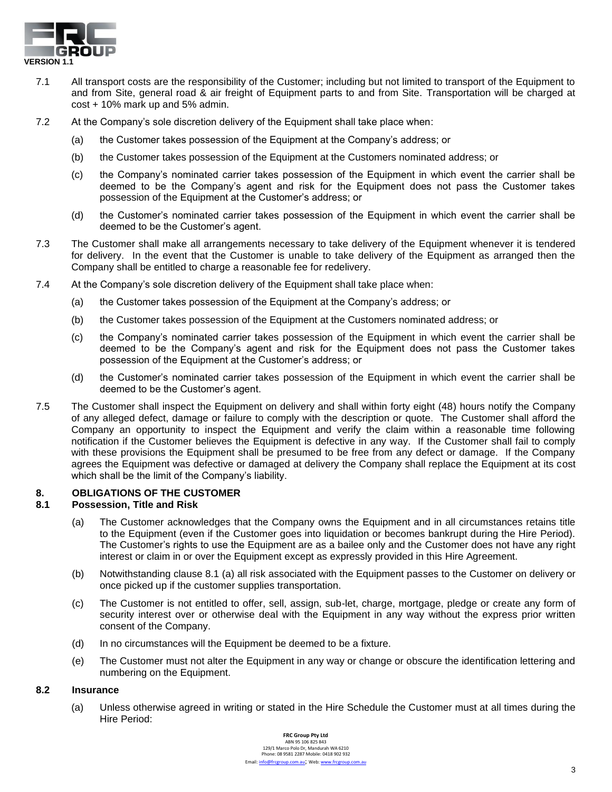

- 7.1 All transport costs are the responsibility of the Customer; including but not limited to transport of the Equipment to and from Site, general road & air freight of Equipment parts to and from Site. Transportation will be charged at cost + 10% mark up and 5% admin.
- 7.2 At the Company's sole discretion delivery of the Equipment shall take place when:
	- (a) the Customer takes possession of the Equipment at the Company's address; or
	- (b) the Customer takes possession of the Equipment at the Customers nominated address; or
	- (c) the Company's nominated carrier takes possession of the Equipment in which event the carrier shall be deemed to be the Company's agent and risk for the Equipment does not pass the Customer takes possession of the Equipment at the Customer's address; or
	- (d) the Customer's nominated carrier takes possession of the Equipment in which event the carrier shall be deemed to be the Customer's agent.
- 7.3 The Customer shall make all arrangements necessary to take delivery of the Equipment whenever it is tendered for delivery. In the event that the Customer is unable to take delivery of the Equipment as arranged then the Company shall be entitled to charge a reasonable fee for redelivery.
- 7.4 At the Company's sole discretion delivery of the Equipment shall take place when:
	- (a) the Customer takes possession of the Equipment at the Company's address; or
	- (b) the Customer takes possession of the Equipment at the Customers nominated address; or
	- (c) the Company's nominated carrier takes possession of the Equipment in which event the carrier shall be deemed to be the Company's agent and risk for the Equipment does not pass the Customer takes possession of the Equipment at the Customer's address; or
	- (d) the Customer's nominated carrier takes possession of the Equipment in which event the carrier shall be deemed to be the Customer's agent.
- 7.5 The Customer shall inspect the Equipment on delivery and shall within forty eight (48) hours notify the Company of any alleged defect, damage or failure to comply with the description or quote. The Customer shall afford the Company an opportunity to inspect the Equipment and verify the claim within a reasonable time following notification if the Customer believes the Equipment is defective in any way. If the Customer shall fail to comply with these provisions the Equipment shall be presumed to be free from any defect or damage. If the Company agrees the Equipment was defective or damaged at delivery the Company shall replace the Equipment at its cost which shall be the limit of the Company's liability.

# **8. OBLIGATIONS OF THE CUSTOMER**

### **8.1 Possession, Title and Risk**

- (a) The Customer acknowledges that the Company owns the Equipment and in all circumstances retains title to the Equipment (even if the Customer goes into liquidation or becomes bankrupt during the Hire Period). The Customer's rights to use the Equipment are as a bailee only and the Customer does not have any right interest or claim in or over the Equipment except as expressly provided in this Hire Agreement.
- (b) Notwithstanding clause 8.1 (a) all risk associated with the Equipment passes to the Customer on delivery or once picked up if the customer supplies transportation.
- (c) The Customer is not entitled to offer, sell, assign, sub-let, charge, mortgage, pledge or create any form of security interest over or otherwise deal with the Equipment in any way without the express prior written consent of the Company.
- (d) In no circumstances will the Equipment be deemed to be a fixture.
- (e) The Customer must not alter the Equipment in any way or change or obscure the identification lettering and numbering on the Equipment.

### **8.2 Insurance**

(a) Unless otherwise agreed in writing or stated in the Hire Schedule the Customer must at all times during the Hire Period: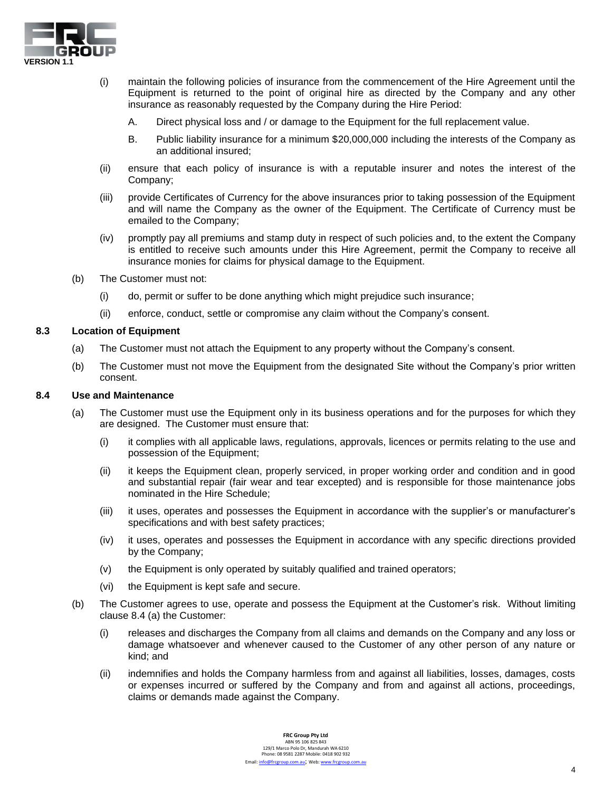

- (i) maintain the following policies of insurance from the commencement of the Hire Agreement until the Equipment is returned to the point of original hire as directed by the Company and any other insurance as reasonably requested by the Company during the Hire Period:
	- A. Direct physical loss and / or damage to the Equipment for the full replacement value.
	- B. Public liability insurance for a minimum \$20,000,000 including the interests of the Company as an additional insured;
- (ii) ensure that each policy of insurance is with a reputable insurer and notes the interest of the Company;
- (iii) provide Certificates of Currency for the above insurances prior to taking possession of the Equipment and will name the Company as the owner of the Equipment. The Certificate of Currency must be emailed to the Company;
- (iv) promptly pay all premiums and stamp duty in respect of such policies and, to the extent the Company is entitled to receive such amounts under this Hire Agreement, permit the Company to receive all insurance monies for claims for physical damage to the Equipment.
- (b) The Customer must not:
	- (i) do, permit or suffer to be done anything which might prejudice such insurance;
	- (ii) enforce, conduct, settle or compromise any claim without the Company's consent.

### **8.3 Location of Equipment**

- (a) The Customer must not attach the Equipment to any property without the Company's consent.
- (b) The Customer must not move the Equipment from the designated Site without the Company's prior written consent.

#### **8.4 Use and Maintenance**

- (a) The Customer must use the Equipment only in its business operations and for the purposes for which they are designed. The Customer must ensure that:
	- (i) it complies with all applicable laws, regulations, approvals, licences or permits relating to the use and possession of the Equipment;
	- (ii) it keeps the Equipment clean, properly serviced, in proper working order and condition and in good and substantial repair (fair wear and tear excepted) and is responsible for those maintenance jobs nominated in the Hire Schedule;
	- (iii) it uses, operates and possesses the Equipment in accordance with the supplier's or manufacturer's specifications and with best safety practices;
	- (iv) it uses, operates and possesses the Equipment in accordance with any specific directions provided by the Company;
	- (v) the Equipment is only operated by suitably qualified and trained operators;
	- (vi) the Equipment is kept safe and secure.
- (b) The Customer agrees to use, operate and possess the Equipment at the Customer's risk. Without limiting clause 8.4 (a) the Customer:
	- (i) releases and discharges the Company from all claims and demands on the Company and any loss or damage whatsoever and whenever caused to the Customer of any other person of any nature or kind; and
	- (ii) indemnifies and holds the Company harmless from and against all liabilities, losses, damages, costs or expenses incurred or suffered by the Company and from and against all actions, proceedings, claims or demands made against the Company.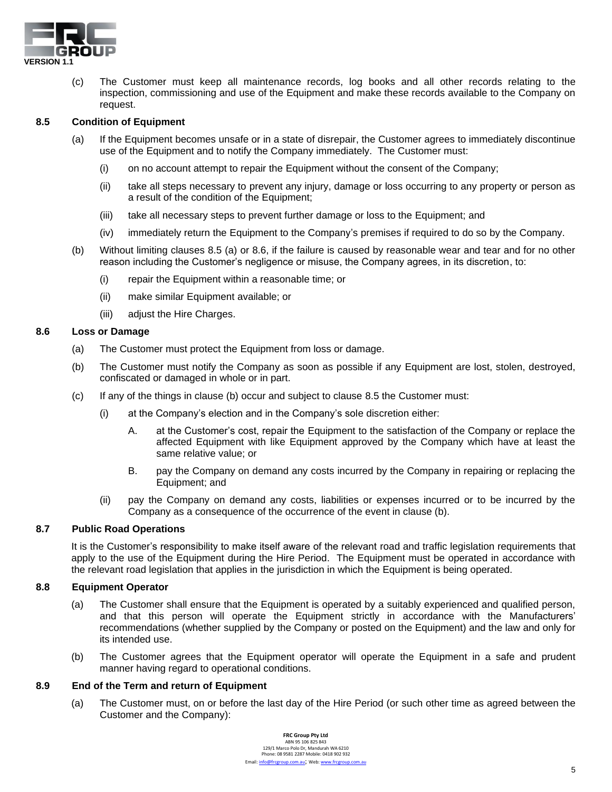

(c) The Customer must keep all maintenance records, log books and all other records relating to the inspection, commissioning and use of the Equipment and make these records available to the Company on request.

### **8.5 Condition of Equipment**

- (a) If the Equipment becomes unsafe or in a state of disrepair, the Customer agrees to immediately discontinue use of the Equipment and to notify the Company immediately. The Customer must:
	- (i) on no account attempt to repair the Equipment without the consent of the Company;
	- (ii) take all steps necessary to prevent any injury, damage or loss occurring to any property or person as a result of the condition of the Equipment;
	- (iii) take all necessary steps to prevent further damage or loss to the Equipment; and
	- (iv) immediately return the Equipment to the Company's premises if required to do so by the Company.
- (b) Without limiting clauses 8.5 (a) or 8.6, if the failure is caused by reasonable wear and tear and for no other reason including the Customer's negligence or misuse, the Company agrees, in its discretion, to:
	- (i) repair the Equipment within a reasonable time; or
	- (ii) make similar Equipment available; or
	- (iii) adjust the Hire Charges.

#### **8.6 Loss or Damage**

- (a) The Customer must protect the Equipment from loss or damage.
- (b) The Customer must notify the Company as soon as possible if any Equipment are lost, stolen, destroyed, confiscated or damaged in whole or in part.
- (c) If any of the things in clause (b) occur and subject to clause 8.5 the Customer must:
	- (i) at the Company's election and in the Company's sole discretion either:
		- A. at the Customer's cost, repair the Equipment to the satisfaction of the Company or replace the affected Equipment with like Equipment approved by the Company which have at least the same relative value; or
		- B. pay the Company on demand any costs incurred by the Company in repairing or replacing the Equipment; and
	- (ii) pay the Company on demand any costs, liabilities or expenses incurred or to be incurred by the Company as a consequence of the occurrence of the event in clause (b).

#### **8.7 Public Road Operations**

It is the Customer's responsibility to make itself aware of the relevant road and traffic legislation requirements that apply to the use of the Equipment during the Hire Period. The Equipment must be operated in accordance with the relevant road legislation that applies in the jurisdiction in which the Equipment is being operated.

### **8.8 Equipment Operator**

- (a) The Customer shall ensure that the Equipment is operated by a suitably experienced and qualified person, and that this person will operate the Equipment strictly in accordance with the Manufacturers' recommendations (whether supplied by the Company or posted on the Equipment) and the law and only for its intended use.
- (b) The Customer agrees that the Equipment operator will operate the Equipment in a safe and prudent manner having regard to operational conditions.

### **8.9 End of the Term and return of Equipment**

(a) The Customer must, on or before the last day of the Hire Period (or such other time as agreed between the Customer and the Company):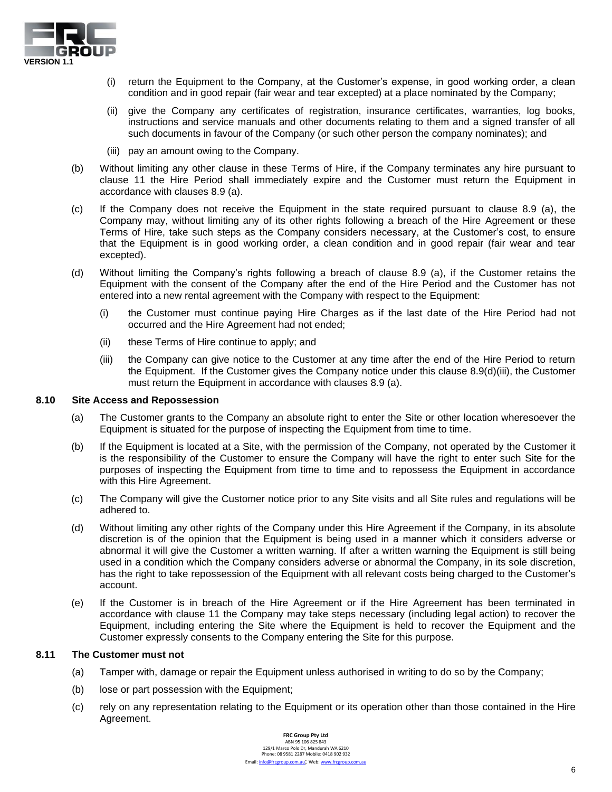

- (i) return the Equipment to the Company, at the Customer's expense, in good working order, a clean condition and in good repair (fair wear and tear excepted) at a place nominated by the Company;
- (ii) give the Company any certificates of registration, insurance certificates, warranties, log books, instructions and service manuals and other documents relating to them and a signed transfer of all such documents in favour of the Company (or such other person the company nominates); and
- (iii) pay an amount owing to the Company.
- (b) Without limiting any other clause in these Terms of Hire, if the Company terminates any hire pursuant to clause 11 the Hire Period shall immediately expire and the Customer must return the Equipment in accordance with clauses 8.9 (a).
- (c) If the Company does not receive the Equipment in the state required pursuant to clause 8.9 (a), the Company may, without limiting any of its other rights following a breach of the Hire Agreement or these Terms of Hire, take such steps as the Company considers necessary, at the Customer's cost, to ensure that the Equipment is in good working order, a clean condition and in good repair (fair wear and tear excepted).
- (d) Without limiting the Company's rights following a breach of clause 8.9 (a), if the Customer retains the Equipment with the consent of the Company after the end of the Hire Period and the Customer has not entered into a new rental agreement with the Company with respect to the Equipment:
	- (i) the Customer must continue paying Hire Charges as if the last date of the Hire Period had not occurred and the Hire Agreement had not ended;
	- (ii) these Terms of Hire continue to apply; and
	- (iii) the Company can give notice to the Customer at any time after the end of the Hire Period to return the Equipment. If the Customer gives the Company notice under this clause 8.9(d)(iii), the Customer must return the Equipment in accordance with clauses 8.9 (a).

#### **8.10 Site Access and Repossession**

- (a) The Customer grants to the Company an absolute right to enter the Site or other location wheresoever the Equipment is situated for the purpose of inspecting the Equipment from time to time.
- (b) If the Equipment is located at a Site, with the permission of the Company, not operated by the Customer it is the responsibility of the Customer to ensure the Company will have the right to enter such Site for the purposes of inspecting the Equipment from time to time and to repossess the Equipment in accordance with this Hire Agreement.
- (c) The Company will give the Customer notice prior to any Site visits and all Site rules and regulations will be adhered to.
- (d) Without limiting any other rights of the Company under this Hire Agreement if the Company, in its absolute discretion is of the opinion that the Equipment is being used in a manner which it considers adverse or abnormal it will give the Customer a written warning. If after a written warning the Equipment is still being used in a condition which the Company considers adverse or abnormal the Company, in its sole discretion, has the right to take repossession of the Equipment with all relevant costs being charged to the Customer's account.
- (e) If the Customer is in breach of the Hire Agreement or if the Hire Agreement has been terminated in accordance with clause 11 the Company may take steps necessary (including legal action) to recover the Equipment, including entering the Site where the Equipment is held to recover the Equipment and the Customer expressly consents to the Company entering the Site for this purpose.

### **8.11 The Customer must not**

- (a) Tamper with, damage or repair the Equipment unless authorised in writing to do so by the Company;
- (b) lose or part possession with the Equipment;
- (c) rely on any representation relating to the Equipment or its operation other than those contained in the Hire Agreement.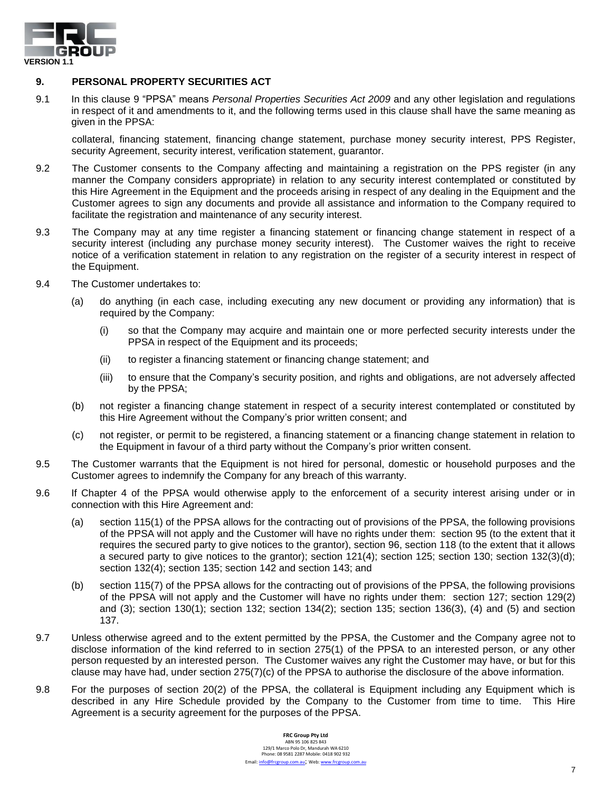

## **9. PERSONAL PROPERTY SECURITIES ACT**

9.1 In this clause 9 "PPSA" means *Personal Properties Securities Act 2009* and any other legislation and regulations in respect of it and amendments to it, and the following terms used in this clause shall have the same meaning as given in the PPSA:

collateral, financing statement, financing change statement, purchase money security interest, PPS Register, security Agreement, security interest, verification statement, guarantor.

- 9.2 The Customer consents to the Company affecting and maintaining a registration on the PPS register (in any manner the Company considers appropriate) in relation to any security interest contemplated or constituted by this Hire Agreement in the Equipment and the proceeds arising in respect of any dealing in the Equipment and the Customer agrees to sign any documents and provide all assistance and information to the Company required to facilitate the registration and maintenance of any security interest.
- 9.3 The Company may at any time register a financing statement or financing change statement in respect of a security interest (including any purchase money security interest). The Customer waives the right to receive notice of a verification statement in relation to any registration on the register of a security interest in respect of the Equipment.
- 9.4 The Customer undertakes to:
	- (a) do anything (in each case, including executing any new document or providing any information) that is required by the Company:
		- (i) so that the Company may acquire and maintain one or more perfected security interests under the PPSA in respect of the Equipment and its proceeds;
		- (ii) to register a financing statement or financing change statement; and
		- (iii) to ensure that the Company's security position, and rights and obligations, are not adversely affected by the PPSA;
	- (b) not register a financing change statement in respect of a security interest contemplated or constituted by this Hire Agreement without the Company's prior written consent; and
	- (c) not register, or permit to be registered, a financing statement or a financing change statement in relation to the Equipment in favour of a third party without the Company's prior written consent.
- 9.5 The Customer warrants that the Equipment is not hired for personal, domestic or household purposes and the Customer agrees to indemnify the Company for any breach of this warranty.
- 9.6 If Chapter 4 of the PPSA would otherwise apply to the enforcement of a security interest arising under or in connection with this Hire Agreement and:
	- (a) section 115(1) of the PPSA allows for the contracting out of provisions of the PPSA, the following provisions of the PPSA will not apply and the Customer will have no rights under them: section 95 (to the extent that it requires the secured party to give notices to the grantor), section 96, section 118 (to the extent that it allows a secured party to give notices to the grantor); section 121(4); section 125; section 130; section 132(3)(d); section 132(4); section 135; section 142 and section 143; and
	- (b) section 115(7) of the PPSA allows for the contracting out of provisions of the PPSA, the following provisions of the PPSA will not apply and the Customer will have no rights under them: section 127; section 129(2) and (3); section 130(1); section 132; section 134(2); section 135; section 136(3), (4) and (5) and section 137.
- 9.7 Unless otherwise agreed and to the extent permitted by the PPSA, the Customer and the Company agree not to disclose information of the kind referred to in section 275(1) of the PPSA to an interested person, or any other person requested by an interested person. The Customer waives any right the Customer may have, or but for this clause may have had, under section 275(7)(c) of the PPSA to authorise the disclosure of the above information.
- 9.8 For the purposes of section 20(2) of the PPSA, the collateral is Equipment including any Equipment which is described in any Hire Schedule provided by the Company to the Customer from time to time. This Hire Agreement is a security agreement for the purposes of the PPSA.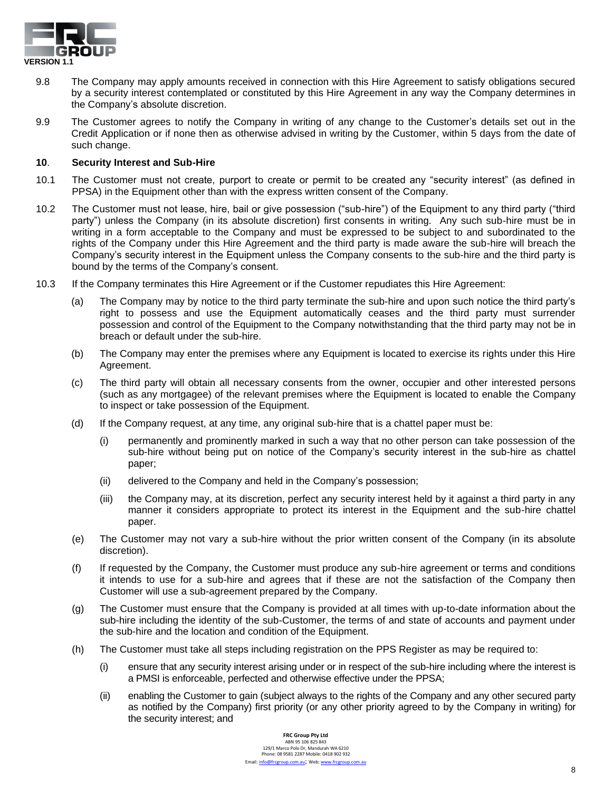

- 9.8 The Company may apply amounts received in connection with this Hire Agreement to satisfy obligations secured by a security interest contemplated or constituted by this Hire Agreement in any way the Company determines in the Company's absolute discretion.
- 9.9 The Customer agrees to notify the Company in writing of any change to the Customer's details set out in the Credit Application or if none then as otherwise advised in writing by the Customer, within 5 days from the date of such change.

### **10**. **Security Interest and Sub-Hire**

- 10.1 The Customer must not create, purport to create or permit to be created any "security interest" (as defined in PPSA) in the Equipment other than with the express written consent of the Company.
- 10.2 The Customer must not lease, hire, bail or give possession ("sub-hire") of the Equipment to any third party ("third party") unless the Company (in its absolute discretion) first consents in writing. Any such sub-hire must be in writing in a form acceptable to the Company and must be expressed to be subject to and subordinated to the rights of the Company under this Hire Agreement and the third party is made aware the sub-hire will breach the Company's security interest in the Equipment unless the Company consents to the sub-hire and the third party is bound by the terms of the Company's consent.
- 10.3 If the Company terminates this Hire Agreement or if the Customer repudiates this Hire Agreement:
	- (a) The Company may by notice to the third party terminate the sub-hire and upon such notice the third party's right to possess and use the Equipment automatically ceases and the third party must surrender possession and control of the Equipment to the Company notwithstanding that the third party may not be in breach or default under the sub-hire.
	- (b) The Company may enter the premises where any Equipment is located to exercise its rights under this Hire Agreement.
	- (c) The third party will obtain all necessary consents from the owner, occupier and other interested persons (such as any mortgagee) of the relevant premises where the Equipment is located to enable the Company to inspect or take possession of the Equipment.
	- (d) If the Company request, at any time, any original sub-hire that is a chattel paper must be:
		- (i) permanently and prominently marked in such a way that no other person can take possession of the sub-hire without being put on notice of the Company's security interest in the sub-hire as chattel paper;
		- (ii) delivered to the Company and held in the Company's possession;
		- (iii) the Company may, at its discretion, perfect any security interest held by it against a third party in any manner it considers appropriate to protect its interest in the Equipment and the sub-hire chattel paper.
	- (e) The Customer may not vary a sub-hire without the prior written consent of the Company (in its absolute discretion).
	- (f) If requested by the Company, the Customer must produce any sub-hire agreement or terms and conditions it intends to use for a sub-hire and agrees that if these are not the satisfaction of the Company then Customer will use a sub-agreement prepared by the Company.
	- (g) The Customer must ensure that the Company is provided at all times with up-to-date information about the sub-hire including the identity of the sub-Customer, the terms of and state of accounts and payment under the sub-hire and the location and condition of the Equipment.
	- (h) The Customer must take all steps including registration on the PPS Register as may be required to:
		- (i) ensure that any security interest arising under or in respect of the sub-hire including where the interest is a PMSI is enforceable, perfected and otherwise effective under the PPSA;
		- (ii) enabling the Customer to gain (subject always to the rights of the Company and any other secured party as notified by the Company) first priority (or any other priority agreed to by the Company in writing) for the security interest; and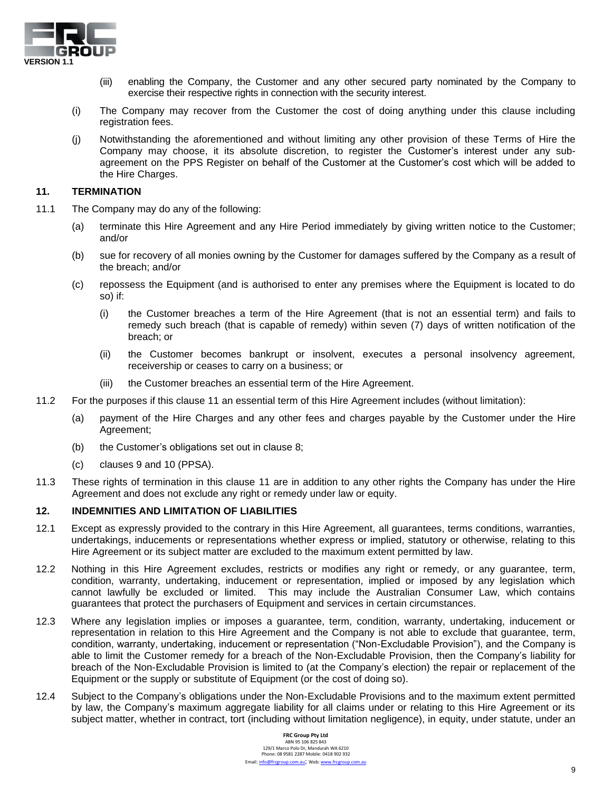

- (iii) enabling the Company, the Customer and any other secured party nominated by the Company to exercise their respective rights in connection with the security interest.
- (i) The Company may recover from the Customer the cost of doing anything under this clause including registration fees.
- (j) Notwithstanding the aforementioned and without limiting any other provision of these Terms of Hire the Company may choose, it its absolute discretion, to register the Customer's interest under any subagreement on the PPS Register on behalf of the Customer at the Customer's cost which will be added to the Hire Charges.

### **11. TERMINATION**

- 11.1 The Company may do any of the following:
	- (a) terminate this Hire Agreement and any Hire Period immediately by giving written notice to the Customer; and/or
	- (b) sue for recovery of all monies owning by the Customer for damages suffered by the Company as a result of the breach; and/or
	- (c) repossess the Equipment (and is authorised to enter any premises where the Equipment is located to do so) if:
		- (i) the Customer breaches a term of the Hire Agreement (that is not an essential term) and fails to remedy such breach (that is capable of remedy) within seven (7) days of written notification of the breach; or
		- (ii) the Customer becomes bankrupt or insolvent, executes a personal insolvency agreement, receivership or ceases to carry on a business; or
		- (iii) the Customer breaches an essential term of the Hire Agreement.
- 11.2 For the purposes if this clause 11 an essential term of this Hire Agreement includes (without limitation):
	- (a) payment of the Hire Charges and any other fees and charges payable by the Customer under the Hire Agreement;
	- (b) the Customer's obligations set out in clause 8;
	- (c) clauses 9 and 10 (PPSA).
- 11.3 These rights of termination in this clause 11 are in addition to any other rights the Company has under the Hire Agreement and does not exclude any right or remedy under law or equity.

### **12. INDEMNITIES AND LIMITATION OF LIABILITIES**

- 12.1 Except as expressly provided to the contrary in this Hire Agreement, all guarantees, terms conditions, warranties, undertakings, inducements or representations whether express or implied, statutory or otherwise, relating to this Hire Agreement or its subject matter are excluded to the maximum extent permitted by law.
- 12.2 Nothing in this Hire Agreement excludes, restricts or modifies any right or remedy, or any guarantee, term, condition, warranty, undertaking, inducement or representation, implied or imposed by any legislation which cannot lawfully be excluded or limited. This may include the Australian Consumer Law, which contains guarantees that protect the purchasers of Equipment and services in certain circumstances.
- 12.3 Where any legislation implies or imposes a guarantee, term, condition, warranty, undertaking, inducement or representation in relation to this Hire Agreement and the Company is not able to exclude that guarantee, term, condition, warranty, undertaking, inducement or representation ("Non-Excludable Provision"), and the Company is able to limit the Customer remedy for a breach of the Non-Excludable Provision, then the Company's liability for breach of the Non-Excludable Provision is limited to (at the Company's election) the repair or replacement of the Equipment or the supply or substitute of Equipment (or the cost of doing so).
- 12.4 Subject to the Company's obligations under the Non-Excludable Provisions and to the maximum extent permitted by law, the Company's maximum aggregate liability for all claims under or relating to this Hire Agreement or its subject matter, whether in contract, tort (including without limitation negligence), in equity, under statute, under an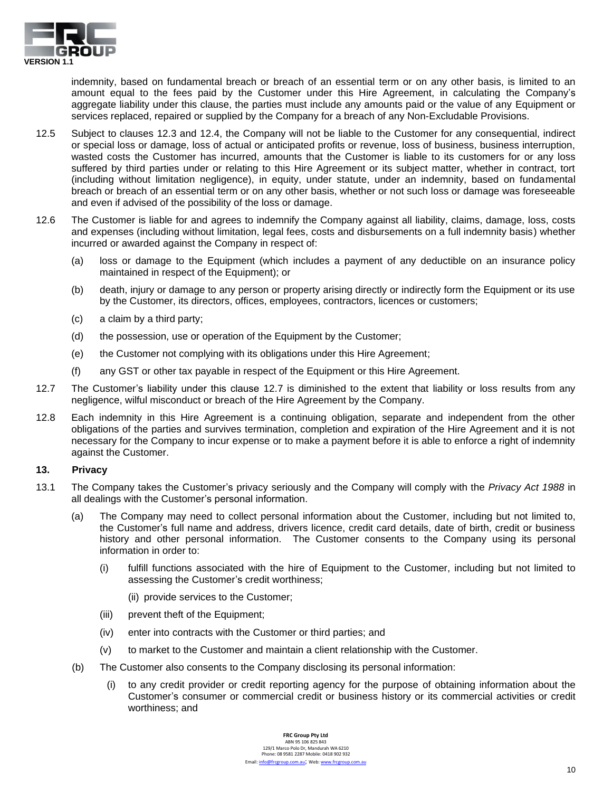

indemnity, based on fundamental breach or breach of an essential term or on any other basis, is limited to an amount equal to the fees paid by the Customer under this Hire Agreement, in calculating the Company's aggregate liability under this clause, the parties must include any amounts paid or the value of any Equipment or services replaced, repaired or supplied by the Company for a breach of any Non-Excludable Provisions.

- 12.5 Subject to clauses 12.3 and 12.4, the Company will not be liable to the Customer for any consequential, indirect or special loss or damage, loss of actual or anticipated profits or revenue, loss of business, business interruption, wasted costs the Customer has incurred, amounts that the Customer is liable to its customers for or any loss suffered by third parties under or relating to this Hire Agreement or its subject matter, whether in contract, tort (including without limitation negligence), in equity, under statute, under an indemnity, based on fundamental breach or breach of an essential term or on any other basis, whether or not such loss or damage was foreseeable and even if advised of the possibility of the loss or damage.
- 12.6 The Customer is liable for and agrees to indemnify the Company against all liability, claims, damage, loss, costs and expenses (including without limitation, legal fees, costs and disbursements on a full indemnity basis) whether incurred or awarded against the Company in respect of:
	- (a) loss or damage to the Equipment (which includes a payment of any deductible on an insurance policy maintained in respect of the Equipment); or
	- (b) death, injury or damage to any person or property arising directly or indirectly form the Equipment or its use by the Customer, its directors, offices, employees, contractors, licences or customers;
	- (c) a claim by a third party;
	- (d) the possession, use or operation of the Equipment by the Customer;
	- (e) the Customer not complying with its obligations under this Hire Agreement;
	- (f) any GST or other tax payable in respect of the Equipment or this Hire Agreement.
- 12.7 The Customer's liability under this clause 12.7 is diminished to the extent that liability or loss results from any negligence, wilful misconduct or breach of the Hire Agreement by the Company.
- 12.8 Each indemnity in this Hire Agreement is a continuing obligation, separate and independent from the other obligations of the parties and survives termination, completion and expiration of the Hire Agreement and it is not necessary for the Company to incur expense or to make a payment before it is able to enforce a right of indemnity against the Customer.

# **13. Privacy**

- 13.1 The Company takes the Customer's privacy seriously and the Company will comply with the *Privacy Act 1988* in all dealings with the Customer's personal information.
	- (a) The Company may need to collect personal information about the Customer, including but not limited to, the Customer's full name and address, drivers licence, credit card details, date of birth, credit or business history and other personal information. The Customer consents to the Company using its personal information in order to:
		- (i) fulfill functions associated with the hire of Equipment to the Customer, including but not limited to assessing the Customer's credit worthiness;
			- (ii) provide services to the Customer;
		- (iii) prevent theft of the Equipment;
		- (iv) enter into contracts with the Customer or third parties; and
		- (v) to market to the Customer and maintain a client relationship with the Customer.
	- (b) The Customer also consents to the Company disclosing its personal information:
		- (i) to any credit provider or credit reporting agency for the purpose of obtaining information about the Customer's consumer or commercial credit or business history or its commercial activities or credit worthiness; and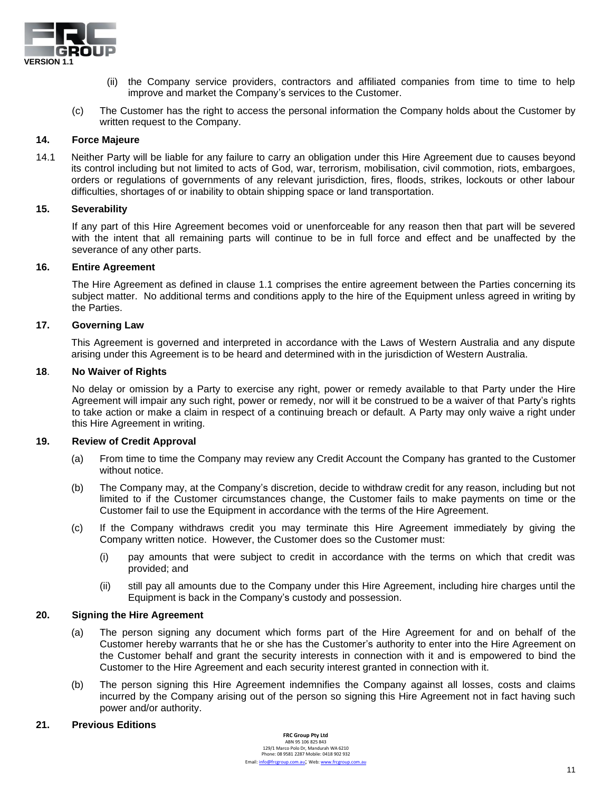

- (ii) the Company service providers, contractors and affiliated companies from time to time to help improve and market the Company's services to the Customer.
- (c) The Customer has the right to access the personal information the Company holds about the Customer by written request to the Company.

#### **14. Force Majeure**

14.1 Neither Party will be liable for any failure to carry an obligation under this Hire Agreement due to causes beyond its control including but not limited to acts of God, war, terrorism, mobilisation, civil commotion, riots, embargoes, orders or regulations of governments of any relevant jurisdiction, fires, floods, strikes, lockouts or other labour difficulties, shortages of or inability to obtain shipping space or land transportation.

#### **15. Severability**

If any part of this Hire Agreement becomes void or unenforceable for any reason then that part will be severed with the intent that all remaining parts will continue to be in full force and effect and be unaffected by the severance of any other parts.

#### **16. Entire Agreement**

The Hire Agreement as defined in clause 1.1 comprises the entire agreement between the Parties concerning its subject matter. No additional terms and conditions apply to the hire of the Equipment unless agreed in writing by the Parties.

#### **17. Governing Law**

This Agreement is governed and interpreted in accordance with the Laws of Western Australia and any dispute arising under this Agreement is to be heard and determined with in the jurisdiction of Western Australia.

#### **18**. **No Waiver of Rights**

No delay or omission by a Party to exercise any right, power or remedy available to that Party under the Hire Agreement will impair any such right, power or remedy, nor will it be construed to be a waiver of that Party's rights to take action or make a claim in respect of a continuing breach or default. A Party may only waive a right under this Hire Agreement in writing.

### **19. Review of Credit Approval**

- (a) From time to time the Company may review any Credit Account the Company has granted to the Customer without notice.
- (b) The Company may, at the Company's discretion, decide to withdraw credit for any reason, including but not limited to if the Customer circumstances change, the Customer fails to make payments on time or the Customer fail to use the Equipment in accordance with the terms of the Hire Agreement.
- (c) If the Company withdraws credit you may terminate this Hire Agreement immediately by giving the Company written notice. However, the Customer does so the Customer must:
	- (i) pay amounts that were subject to credit in accordance with the terms on which that credit was provided; and
	- (ii) still pay all amounts due to the Company under this Hire Agreement, including hire charges until the Equipment is back in the Company's custody and possession.

### **20. Signing the Hire Agreement**

- (a) The person signing any document which forms part of the Hire Agreement for and on behalf of the Customer hereby warrants that he or she has the Customer's authority to enter into the Hire Agreement on the Customer behalf and grant the security interests in connection with it and is empowered to bind the Customer to the Hire Agreement and each security interest granted in connection with it.
- (b) The person signing this Hire Agreement indemnifies the Company against all losses, costs and claims incurred by the Company arising out of the person so signing this Hire Agreement not in fact having such power and/or authority.

#### **21. Previous Editions**